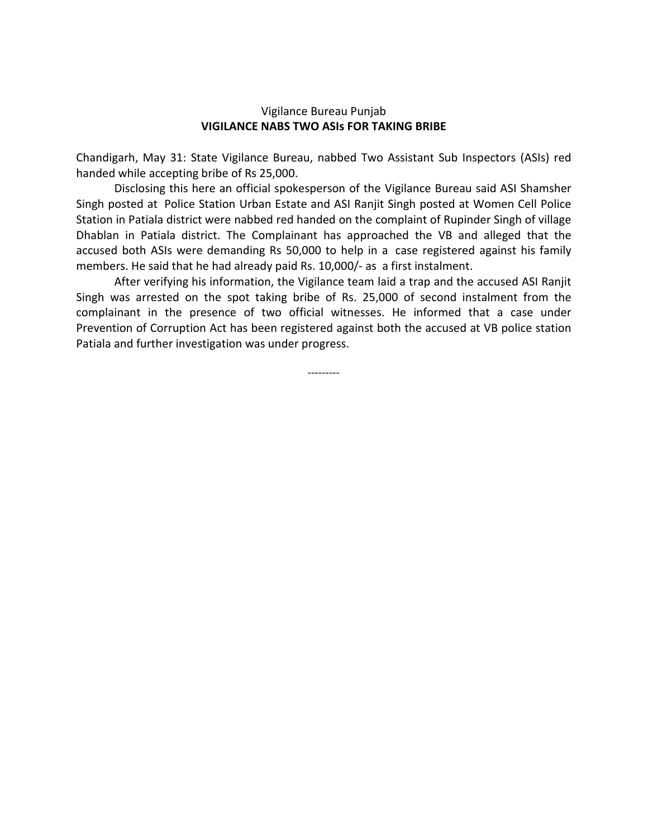## Vigilance Bureau Punjab **VIGILANCE NABS TWO ASIs FOR TAKING BRIBE**

Chandigarh, May 31: State Vigilance Bureau, nabbed Two Assistant Sub Inspectors (ASIs) red handed while accepting bribe of Rs 25,000.

Disclosing this here an official spokesperson of the Vigilance Bureau said ASI Shamsher Singh posted at Police Station Urban Estate and ASI Ranjit Singh posted at Women Cell Police Station in Patiala district were nabbed red handed on the complaint of Rupinder Singh of village Dhablan in Patiala district. The Complainant has approached the VB and alleged that the accused both ASIs were demanding Rs 50,000 to help in a case registered against his family members. He said that he had already paid Rs. 10,000/- as a first instalment.

After verifying his information, the Vigilance team laid a trap and the accused ASI Ranjit Singh was arrested on the spot taking bribe of Rs. 25,000 of second instalment from the complainant in the presence of two official witnesses. He informed that a case under Prevention of Corruption Act has been registered against both the accused at VB police station Patiala and further investigation was under progress.

---------